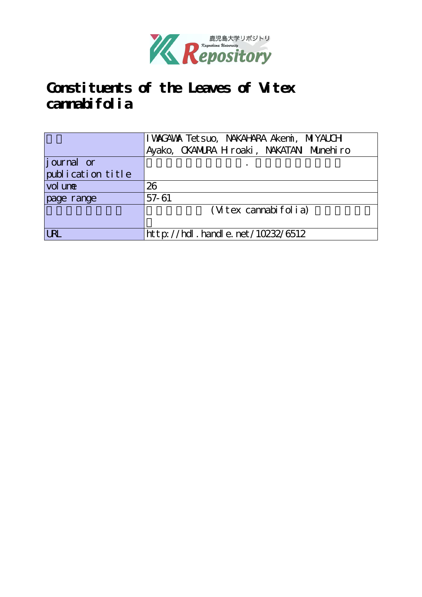

# **Constituents of the Leaves of Vitex** cannabifolia

|                   | I WAGAWA Tetsuo, NAKAHARA Akemi, MIYAUCH |  |  |  |  |  |
|-------------------|------------------------------------------|--|--|--|--|--|
|                   | Ayako, CKANURA H roaki, NAKATAN Munehiro |  |  |  |  |  |
| journal or        |                                          |  |  |  |  |  |
| publication title |                                          |  |  |  |  |  |
| vol une           | 26                                       |  |  |  |  |  |
| page range        | 57-61                                    |  |  |  |  |  |
|                   | (Vitex cannabifolia)                     |  |  |  |  |  |
|                   |                                          |  |  |  |  |  |
| <b>LRL</b>        | http://hdl.handle.net/10232/6512         |  |  |  |  |  |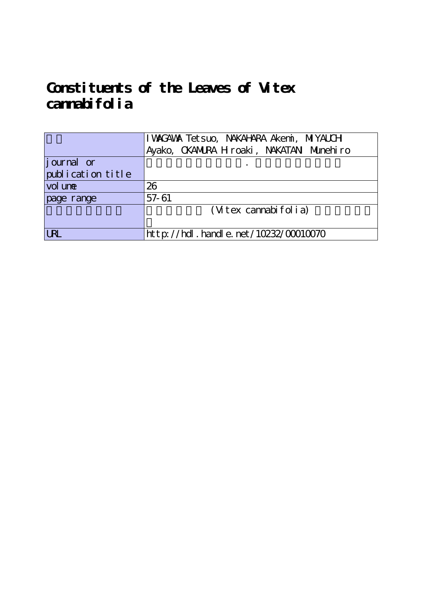# **Constituents of the Leaves of Vitex** cannabifolia

|                    | I WAGAWA Tetsuo, NAKAHARA Akemi, MIYAUCH   |  |  |  |  |  |
|--------------------|--------------------------------------------|--|--|--|--|--|
|                    | Ayako, CKAMURA H roaki, NAKATAN Munehiro   |  |  |  |  |  |
| <i>j</i> ournal or |                                            |  |  |  |  |  |
| publication title  |                                            |  |  |  |  |  |
| vol une            | 26                                         |  |  |  |  |  |
| page range         | 57-61                                      |  |  |  |  |  |
|                    | (Vitex cannabifolia)                       |  |  |  |  |  |
|                    |                                            |  |  |  |  |  |
| <b>LRL</b>         | ht t p://hdl . handl e. net/10232/00010070 |  |  |  |  |  |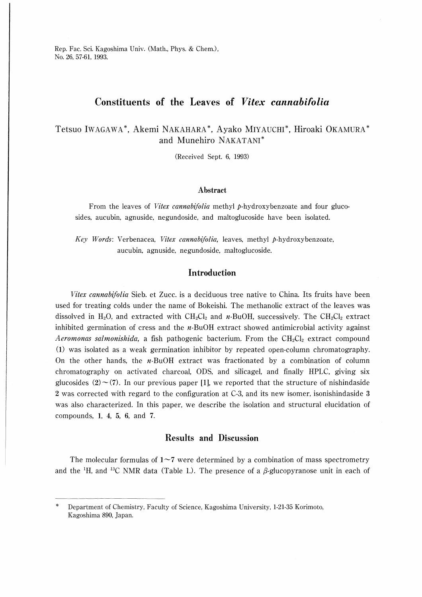Rep. Fac. Sci. Kagoshima Univ. (Math., Phys. & Chem.), No. 26, 57-61, 1993.

## Constituents of the Leaves of Vitex cannabifolia

Tetsuo IWAGAWA\*, Akemi NAKAHARA\*, Ayako MIYAUCHI\*, Hiroaki OKAMURA\* and Munehiro NAKATANI

(Received Sept. 6, 1993)

#### Abstract

From the leaves of Vitex cannabifolia methyl p-hydroxybenzoate and four glucosides, aucubin, agnuside, negundoside, and maltoglucoside have been isolated.

Key Words: Verbenacea, Vitex cannabifolia, leaves, methyl p-hydroxybenzoate, aucubin, agnuside, negundoside, maltoglucoside.

### Introduction

Vitex cannabifolia Sieb. et Zucc. is a deciduous tree native to China. Its fruits have been used for treating colds under the name of Bokeishi. The methanolic extract of the leaves was dissolved in H<sub>2</sub>O, and extracted with  $CH_2Cl_2$  and n-BuOH, successively. The  $CH_2Cl_2$  extract inhibited germination of cress and the  $n$ -BuOH extract showed antimicrobial activity against *Aeromonas salmonishida*, a fish pathogenic bacterium. From the  $CH_2Cl_2$  extract compound (1) was isolated as a weak germination inhibitor by repeated open-column chromatography. On the other hands, the  $n$ -BuOH extract was fractionated by a combination of column chromatography on activated charcoal, ODS, and silicagel, and finally HPLC, giving six glucosides  $(2) \sim (7)$ . In our previous paper [1], we reported that the structure of nishindaside 2 was corrected with regard to the configuration at C-3, and its new isomer, isonishindaside 3 was also characterized. In this paper, we describe the isolation and structural elucidation of compounds, 1, 4, 5, 6, and 7.

### Results and Discussion

The molecular formulas of  $1\negmedspace\negmedspace\negmedspace\negmedspace$  7 were determined by a combination of mass spectrometry and the <sup>1</sup>H, and <sup>13</sup>C NMR data (Table 1.). The presence of a β-glucopyranose unit in each of

Department of Chemistry, Faculty of Science, Kagoshima University, 1-21-35 Korimoto, Kagoshima 890, Japan.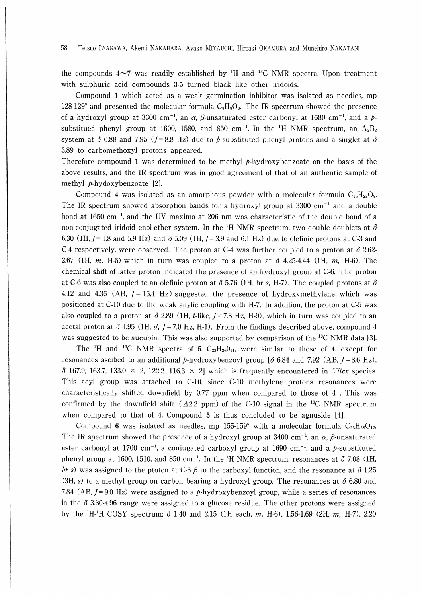the compounds  $4\sim7$  was readily established by <sup>1</sup>H and <sup>13</sup>C NMR spectra. Upon treatment with sulphuric acid compounds 3-5 turned black like other iridoids.

Compound 1 which acted as a weak germination inhibitor was isolated as needles, mp 128-129° and presented the molecular formula  $C_8H_8O_3$ . The IR spectrum showed the presence of a hydroxyl group at 3300 cm<sup>-1</sup>, an  $\alpha$ ,  $\beta$ -unsaturated ester carbonyl at 1680 cm<sup>-1</sup>, and a psubstitued phenyl group at 1600, 1580, and 850 cm<sup>-1</sup>. In the <sup>1</sup>H NMR spectrum, an  $A_2B_2$ system at  $\delta$  6.88 and 7.95 (*J*=8.8 Hz) due to *b*-substituted phenyl protons and a singlet at  $\delta$ 3.89 to carbomethoxyl protons appeared.

Therefore compound 1 was determined to be methyl  $p$ -hydroxybenzoate on the basis of the above results, and the IR spectrum was in good agreement of that of an authentic sample of methyl *p*-hydoxybenzoate [2].

Compound 4 was isolated as an amorphous powder with a molecular formula  $C_{15}H_{22}O_9$ . The IR spectrum showed absorption bands for a hydroxyl group at 3300  $cm^{-1}$  and a double bond at 1650 cm<sup>-1</sup>, and the UV maxima at 206 nm was characteristic of the double bond of a non-conjugated iridoid enol-ether system. In the <sup>1</sup>H NMR spectrum, two double doublets at  $\delta$ 6.30 (1H,  $J = 1.8$  and 5.9 Hz) and  $\delta$  5.09 (1H,  $J = 3.9$  and 6.1 Hz) due to olefinic protons at C-3 and C-4 respectively, were observed. The proton at C-4 was further coupled to a proton at  $\delta$  2.62-2.67 (1H, m, H-5) which in turn was coupled to a proton at  $\delta$  4.25-4.44 (1H, m, H-6). The chemical shift of latter proton indicated the presence of an hydroxyl group at C-6. The proton at C-6 was also coupled to an olefinic proton at  $\delta$  5.76 (1H, br s, H-7). The coupled protons at  $\delta$ 4.12 and 4.36 (AB,  $J = 15.4$  Hz) suggested the presence of hydroxymethylene which was positioned at C-10 due to the weak allylic coupling with H-7. In addition, the proton at C-5 was also coupled to a proton at  $\delta$  2.89 (1H, t-like,  $J=7.3$  Hz, H-9), which in turn was coupled to an acetal proton at  $\delta$  4.95 (1H, d, J=7.0 Hz, H-1). From the findings described above, compound 4 was suggested to be aucubin. This was also supported by comparison of the  $^{13}C$  NMR data [3].

The <sup>1</sup>H and <sup>13</sup>C NMR spectra of 5.  $C_{22}H_{26}O_{11}$ , were similar to those of 4, except for resonances ascibed to an additional p-hydroxybenzoyl group [ $\delta$  6.84 and 7.92 (AB,  $J = 8.6$  Hz);  $\delta$  167.9, 163.7, 133.0 × 2, 122.2, 116.3 × 2] which is frequently encountered in Vitex species. This acyl group was attached to C-10, since C-10 methylene protons resonances were characteristically shifted downfield by  $0.77$  ppm when compared to those of 4. This was confirmed by the down field shift ( $A2.2$  ppm) of the C-10 signal in the <sup>13</sup>C NMR spectrum when compared to that of 4. Compound  $5$  is thus concluded to be agnuside  $[4]$ .

Compound 6 was isolated as needles, mp 155-159° with a molecular formula  $C_{23}H_{28}O_{12}$ . The IR spectrum showed the presence of a hydroxyl group at 3400 cm<sup>-1</sup>, an  $\alpha$ ,  $\beta$ -unsaturated ester carbonyl at 1700 cm<sup>-1</sup>, a conjugated carboxyl group at 1690 cm<sup>-1</sup>, and a p-substituted phenyl group at 1600, 1510, and 850 cm<sup>-1</sup>. In the <sup>1</sup>H NMR spectrum, resonances at  $\delta$  7.08 (1H, br s) was assigned to the ptoton at C-3  $\beta$  to the carboxyl function, and the resonance at  $\delta$  1.25 (3H, s) to a methyl group on carbon bearing a hydroxyl group. The resonances at  $\delta$  6.80 and 7.84 (AB,  $J=9.0$  Hz) were assigned to a p-hydroxybenzoyl group, while a series of resonances in the  $\delta$  3.30-4.96 range were assigned to a glucose residue. The other protons were assigned by the <sup>1</sup>H <sup>1</sup>H COSY spectrum:  $\delta$  1.40 and 2.15 (1H each, m, H-6), 1.56-1.69 (2H, m, H-7), 2.20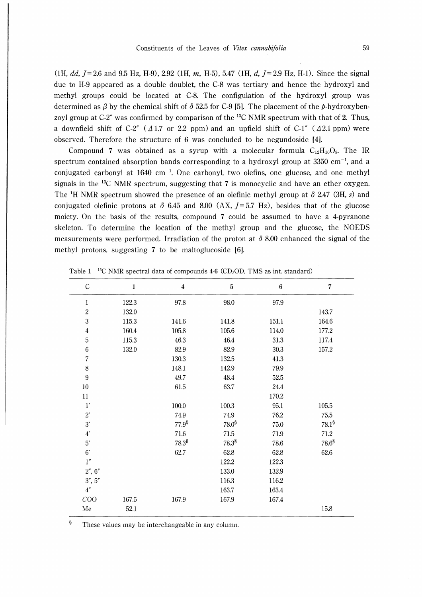(1H, dd,  $J = 2.6$  and 9.5 Hz, H-9), 2.92 (1H, m, H-5), 5.47 (1H, d,  $J = 2.9$  Hz, H-1). Since the signal due to H-9 appeared as a double doublet, the C-8 was tertiary and hence the hydroxyl and methyl groups could be located at C-8. The configulation of the hydroxyl group was determined as  $\beta$  by the chemical shift of  $\delta$  52.5 for C-9 [5]. The placement of the *p*-hydroxybenzoyl group at C-2" was confirmed by comparison of the  $^{13}$ C NMR spectrum with that of 2. Thus, a down field shift of C-2" ( $\Delta$ 1.7 or 2.2 ppm) and an up field shift of C-1" ( $\Delta$ 2.1 ppm) were observed. Therefore the structure of 6 was concluded to be negundoside [41.

Compound 7 was obtained as a syrup with a molecular formula  $C_{12}H_{10}O_8$ . The IR spectrum contained absorption bands corresponding to a hydroxyl group at  $3350 \text{ cm}^{-1}$ , and a conjugated carbonyl at  $1640 \text{ cm}^{-1}$ . One carbonyl, two olefins, one glucose, and one methyl signals in the  $^{13}$ C NMR spectrum, suggesting that 7 is monocyclic and have an ether oxygen. The <sup>1</sup>H NMR spectrum showed the presence of an olefinic methyl group at  $\delta$  2.47 (3H, s) and conjugated olefinic protons at  $\delta$  6.45 and 8.00 (AX, J=5.7 Hz), besides that of the glucose moiety. On the basis of the results, compound 7 could be assumed to have a 4-pyranone skeleton. To determine the location of the methyl group and the glucose, the NOEDS measurements were performed. Irradiation of the proton at  $\delta$  8.00 enhanced the signal of the methyl protons, suggesting  $7$  to be maltoglucoside  $[6]$ .

| $\mathcal{C}$      | $\mathbf{1}$ | $\boldsymbol{4}$  | ${\bf 5}$   | $\boldsymbol{6}$ | $\overline{7}$ |
|--------------------|--------------|-------------------|-------------|------------------|----------------|
| $\mathbf{1}$       | 122.3        | 97.8              | 98.0        | 97.9             |                |
| $\overline{2}$     | 132.0        |                   |             |                  | 143.7          |
| 3                  | 115.3        | 141.6             | 141.8       | 151.1            | 164.6          |
| $\boldsymbol{4}$   | 160.4        | 105.8             | 105.6       | 114.0            | 177.2          |
| $\overline{5}$     | 115.3        | 46.3              | 46.4        | 31.3             | 117.4          |
| $\boldsymbol{6}$   | 132.0        | 82.9              | 82.9        | 30.3             | 157.2          |
| $\overline{7}$     |              | 130.3             | 132.5       | 41.3             |                |
| $\,8\,$            |              | 148.1             | 142.9       | 79.9             |                |
| 9                  |              | 49.7              | 48.4        | 52.5             |                |
| $10\,$             |              | 61.5              | 63.7        | 24.4             |                |
| $11\,$             |              |                   |             | $170.2\,$        |                |
| $1^\prime$         |              | $100.0\,$         | 100.3       | 95.1             | 105.5          |
| $2^\prime$         |              | 74.9              | 74.9        | 76.2             | 75.5           |
| $3^\prime$         |              | 77.9 <sup>§</sup> | $78.0^{8}$  | $75.0\,$         | $78.1^{\$}$    |
| $4^\prime$         |              | $71.6\,$          | $71.5\,$    | 71.9             | $71.2\,$       |
| $5^\prime$         |              | $78.3^\$$         | $78.3^{\$}$ | 78.6             | $78.6^{\$}$    |
| $6^\prime$         |              | 62.7              | 62.8        | 62.8             | 62.6           |
| 1''                |              |                   | 122.2       | 122.3            |                |
| 2, 6               |              |                   | 133.0       | 132.9            |                |
| 3, 5               |              |                   | 116.3       | 116.2            |                |
| $4^{\prime\prime}$ |              |                   | 163.7       | 163.4            |                |
| COO                | 167.5        | 167.9             | 167.9       | 167.4            |                |
| Me                 | 52.1         |                   |             |                  | 15.8           |

Table 1 <sup>13</sup>C NMR spectral data of compounds  $4-6$  (CD<sub>3</sub>OD, TMS as int. standard)

§ These values may be interchangeable in any column.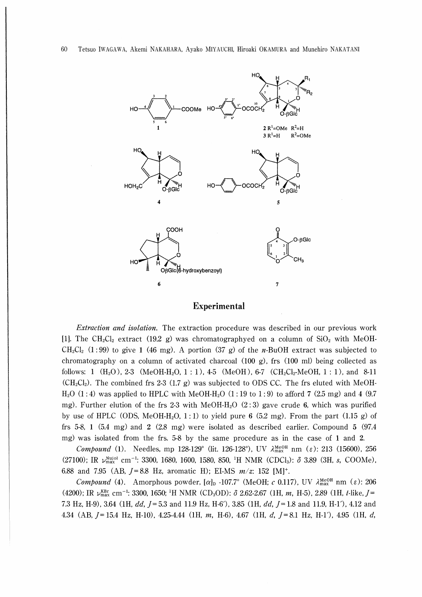

#### Experimental

Extraction and isolation. The extraction procedure was described in our previous work [1]. The CH<sub>2</sub>Cl<sub>2</sub> extract (19.2 g) was chromatographyed on a column of  $SiO<sub>2</sub>$  with MeOH- $CH_2Cl_2$  (1:99) to give 1 (46 mg). A portion (37 g) of the *n*-BuOH extract was subjected to chromatography on a column of activated charcoal (100 g), frs (100 ml) being collected as follows: 1  $(H_2O)$ , 2-3  $(MeOH-H_2O, 1:1)$ , 4-5  $(MeOH)$ , 6-7  $(CH_2Cl_2-MeOH, 1:1)$ , and 8-11  $(CH_2Cl_2)$ . The combined frs 2-3 (1.7 g) was subjected to ODS CC. The frs eluted with MeOH- $H<sub>2</sub>O$  (1:4) was applied to HPLC with MeOH-H<sub>2</sub>O (1:19 to 1:9) to afford 7 (2.5 mg) and 4 (9.7) mg). Further elution of the frs 2-3 with MeOH-H<sub>2</sub>O (2:3) gave crude 6, which was purified by use of HPLC (ODS, MeOH-H<sub>2</sub>O, 1:1) to yield pure 6 (5.2 mg). From the part (1.15 g) of frs 5-8, 1 (5.4 mg) and 2 (2.8 mg) were isolated as described earlier. Compound 5 (97.4 mg) was isolated from the frs. 5-8 by the same procedure as in the case of 1 and 2.

*Compound* (1). Needles, mp 128-129° (lit. 126-128°), UV  $\lambda_{\text{max}}^{\text{MeOH}}$  nm ( $\varepsilon$ ): 213 (15600), 256 (27100); IR  $\nu_{\text{max}}^{\text{Nuud}}$  cm<sup>-1</sup>: 3300, 1680, 1600, 1580, 850, <sup>1</sup>H NMR (CDCl<sub>3</sub>):  $\delta$  3.89 (3H, s, COOMe), 6.88 and 7.95 (AB,  $J=8.8$  Hz, aromatic H); EI-MS  $m/z$ : 152 [M]<sup>+</sup>.

Compound (4). Amorphous powder,  $[\alpha]_D$  -107.7° (MeOH; c 0.117), UV  $\lambda_{\text{max}}^{\text{MeOH}}$  nm ( $\varepsilon$ ): 206 (4200); IR  $\nu_{\text{max}}^{\text{RBr}}$  cm<sup>-1</sup>: 3300, 1650; <sup>1</sup>H NMR (CD<sub>3</sub>OD):  $\delta$  2.62-2.67 (1H, m, H-5), 2.89 (1H, *t*-like, J= 7.3 Hz, H-9), 3.64 (1H, dd,  $J=5.3$  and 11.9 Hz, H-6′), 3.85 (1H, dd,  $J=1.8$  and 11.9, H-1′), 4.12 and 4.34 (AB, J = 15.4 Hz, H-10), 4.25-4.44 (1H, m, H-6), 4.67 (1H, d, J = 8.1 Hz, H-1'), 4.95 (1H, d,